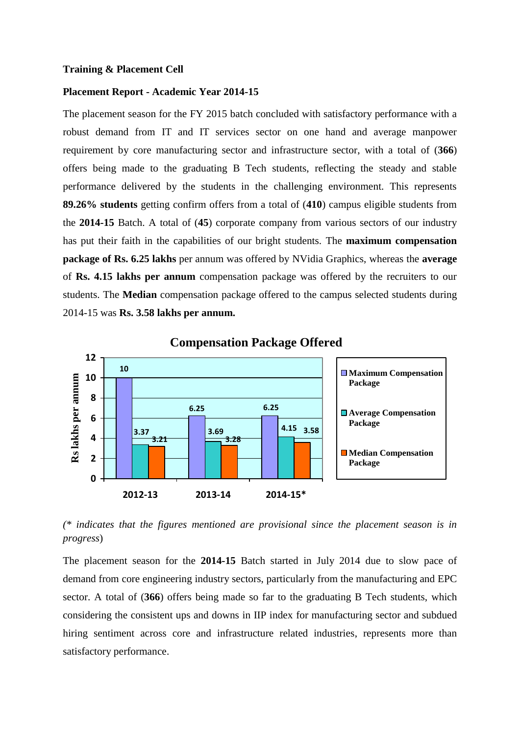#### **Training & Placement Cell**

## **Placement Report - Academic Year 2014-15**

The placement season for the FY 2015 batch concluded with satisfactory performance with a robust demand from IT and IT services sector on one hand and average manpower requirement by core manufacturing sector and infrastructure sector, with a total of (**366**) offers being made to the graduating B Tech students, reflecting the steady and stable performance delivered by the students in the challenging environment. This represents **89.26% students** getting confirm offers from a total of (**410**) campus eligible students from the **2014-15** Batch. A total of (**45**) corporate company from various sectors of our industry has put their faith in the capabilities of our bright students. The **maximum compensation package of Rs. 6.25 lakhs** per annum was offered by NVidia Graphics, whereas the **average** of **Rs. 4.15 lakhs per annum** compensation package was offered by the recruiters to our students. The **Median** compensation package offered to the campus selected students during 2014-15 was **Rs. 3.58 lakhs per annum.**



**Compensation Package Offered**

*(\* indicates that the figures mentioned are provisional since the placement season is in progress*)

The placement season for the **2014-15** Batch started in July 2014 due to slow pace of demand from core engineering industry sectors, particularly from the manufacturing and EPC sector. A total of (**366**) offers being made so far to the graduating B Tech students, which considering the consistent ups and downs in IIP index for manufacturing sector and subdued hiring sentiment across core and infrastructure related industries, represents more than satisfactory performance.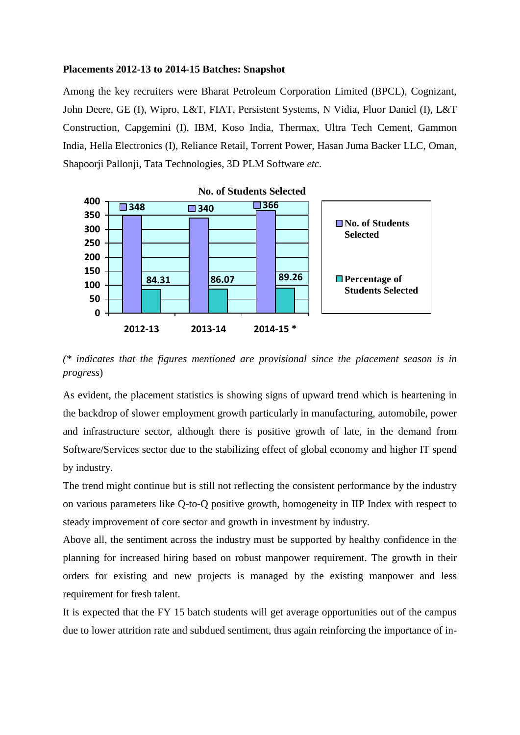## **Placements 2012-13 to 2014-15 Batches: Snapshot**

Among the key recruiters were Bharat Petroleum Corporation Limited (BPCL), Cognizant, John Deere, GE (I), Wipro, L&T, FIAT, Persistent Systems, N Vidia, Fluor Daniel (I), L&T Construction, Capgemini (I), IBM, Koso India, Thermax, Ultra Tech Cement, Gammon India, Hella Electronics (I), Reliance Retail, Torrent Power, Hasan Juma Backer LLC, Oman, Shapoorji Pallonji, Tata Technologies, 3D PLM Software *etc.*



*(\* indicates that the figures mentioned are provisional since the placement season is in progress*)

As evident, the placement statistics is showing signs of upward trend which is heartening in the backdrop of slower employment growth particularly in manufacturing, automobile, power and infrastructure sector, although there is positive growth of late, in the demand from Software/Services sector due to the stabilizing effect of global economy and higher IT spend by industry.

The trend might continue but is still not reflecting the consistent performance by the industry on various parameters like Q-to-Q positive growth, homogeneity in IIP Index with respect to steady improvement of core sector and growth in investment by industry.

Above all, the sentiment across the industry must be supported by healthy confidence in the planning for increased hiring based on robust manpower requirement. The growth in their orders for existing and new projects is managed by the existing manpower and less requirement for fresh talent.

It is expected that the FY 15 batch students will get average opportunities out of the campus due to lower attrition rate and subdued sentiment, thus again reinforcing the importance of in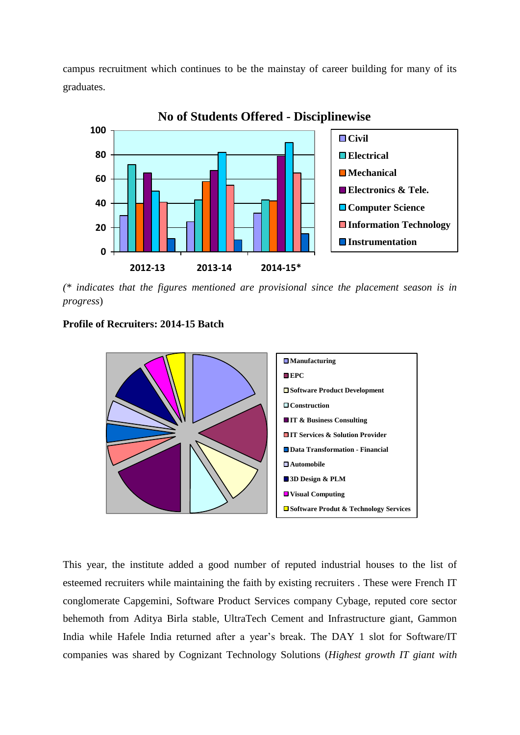campus recruitment which continues to be the mainstay of career building for many of its graduates.



**No of Students Offered - Disciplinewise**

*(\* indicates that the figures mentioned are provisional since the placement season is in progress*)

# **Profile of Recruiters: 2014-15 Batch**



This year, the institute added a good number of reputed industrial houses to the list of esteemed recruiters while maintaining the faith by existing recruiters . These were French IT conglomerate Capgemini, Software Product Services company Cybage, reputed core sector behemoth from Aditya Birla stable, UltraTech Cement and Infrastructure giant, Gammon India while Hafele India returned after a year's break. The DAY 1 slot for Software/IT companies was shared by Cognizant Technology Solutions (*Highest growth IT giant with*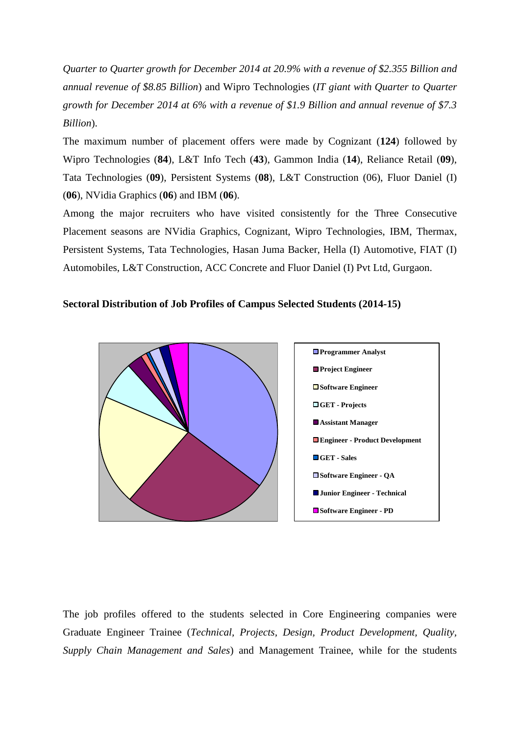*Quarter to Quarter growth for December 2014 at 20.9% with a revenue of \$2.355 Billion and annual revenue of \$8.85 Billion*) and Wipro Technologies (*IT giant with Quarter to Quarter growth for December 2014 at 6% with a revenue of \$1.9 Billion and annual revenue of \$7.3 Billion*).

The maximum number of placement offers were made by Cognizant (**124**) followed by Wipro Technologies (**84**), L&T Info Tech (**43**), Gammon India (**14**), Reliance Retail (**09**), Tata Technologies (**09**), Persistent Systems (**08**), L&T Construction (06), Fluor Daniel (I) (**06**), NVidia Graphics (**06**) and IBM (**06**).

Among the major recruiters who have visited consistently for the Three Consecutive Placement seasons are NVidia Graphics, Cognizant, Wipro Technologies, IBM, Thermax, Persistent Systems, Tata Technologies, Hasan Juma Backer, Hella (I) Automotive, FIAT (I) Automobiles, L&T Construction, ACC Concrete and Fluor Daniel (I) Pvt Ltd, Gurgaon.

# **Sectoral Distribution of Job Profiles of Campus Selected Students (2014-15)**



The job profiles offered to the students selected in Core Engineering companies were Graduate Engineer Trainee (*Technical, Projects, Design, Product Development, Quality, Supply Chain Management and Sales*) and Management Trainee, while for the students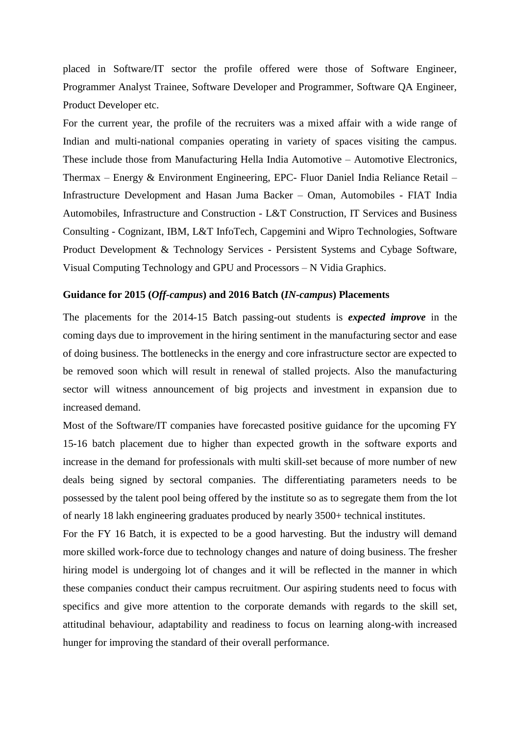placed in Software/IT sector the profile offered were those of Software Engineer, Programmer Analyst Trainee, Software Developer and Programmer, Software QA Engineer, Product Developer etc.

For the current year, the profile of the recruiters was a mixed affair with a wide range of Indian and multi-national companies operating in variety of spaces visiting the campus. These include those from Manufacturing Hella India Automotive – Automotive Electronics, Thermax – Energy & Environment Engineering, EPC- Fluor Daniel India Reliance Retail – Infrastructure Development and Hasan Juma Backer – Oman, Automobiles - FIAT India Automobiles, Infrastructure and Construction - L&T Construction, IT Services and Business Consulting - Cognizant, IBM, L&T InfoTech, Capgemini and Wipro Technologies, Software Product Development & Technology Services - Persistent Systems and Cybage Software, Visual Computing Technology and GPU and Processors – N Vidia Graphics.

### **Guidance for 2015 (***Off-campus***) and 2016 Batch (***IN-campus***) Placements**

The placements for the 2014-15 Batch passing-out students is *expected improve* in the coming days due to improvement in the hiring sentiment in the manufacturing sector and ease of doing business. The bottlenecks in the energy and core infrastructure sector are expected to be removed soon which will result in renewal of stalled projects. Also the manufacturing sector will witness announcement of big projects and investment in expansion due to increased demand.

Most of the Software/IT companies have forecasted positive guidance for the upcoming FY 15-16 batch placement due to higher than expected growth in the software exports and increase in the demand for professionals with multi skill-set because of more number of new deals being signed by sectoral companies. The differentiating parameters needs to be possessed by the talent pool being offered by the institute so as to segregate them from the lot of nearly 18 lakh engineering graduates produced by nearly 3500+ technical institutes.

For the FY 16 Batch, it is expected to be a good harvesting. But the industry will demand more skilled work-force due to technology changes and nature of doing business. The fresher hiring model is undergoing lot of changes and it will be reflected in the manner in which these companies conduct their campus recruitment. Our aspiring students need to focus with specifics and give more attention to the corporate demands with regards to the skill set, attitudinal behaviour, adaptability and readiness to focus on learning along-with increased hunger for improving the standard of their overall performance.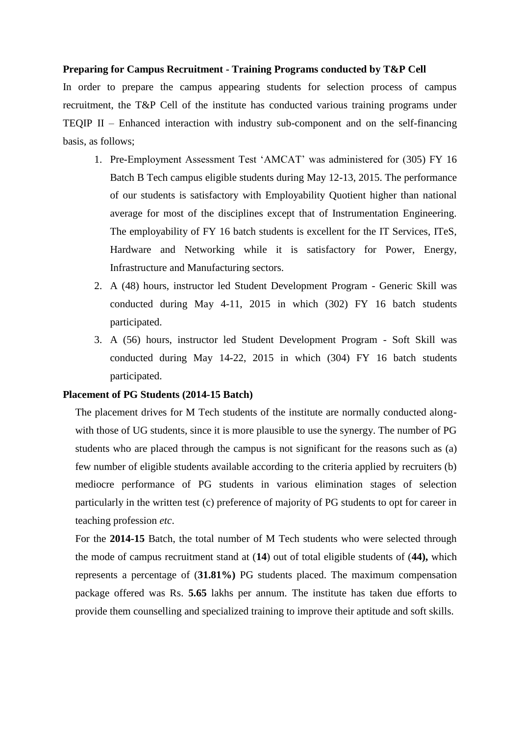### **Preparing for Campus Recruitment - Training Programs conducted by T&P Cell**

In order to prepare the campus appearing students for selection process of campus recruitment, the T&P Cell of the institute has conducted various training programs under TEQIP II – Enhanced interaction with industry sub-component and on the self-financing basis, as follows;

- 1. Pre-Employment Assessment Test 'AMCAT' was administered for (305) FY 16 Batch B Tech campus eligible students during May 12-13, 2015. The performance of our students is satisfactory with Employability Quotient higher than national average for most of the disciplines except that of Instrumentation Engineering. The employability of FY 16 batch students is excellent for the IT Services, ITeS, Hardware and Networking while it is satisfactory for Power, Energy, Infrastructure and Manufacturing sectors.
- 2. A (48) hours, instructor led Student Development Program Generic Skill was conducted during May 4-11, 2015 in which (302) FY 16 batch students participated.
- 3. A (56) hours, instructor led Student Development Program Soft Skill was conducted during May 14-22, 2015 in which (304) FY 16 batch students participated.

### **Placement of PG Students (2014-15 Batch)**

The placement drives for M Tech students of the institute are normally conducted alongwith those of UG students, since it is more plausible to use the synergy. The number of PG students who are placed through the campus is not significant for the reasons such as (a) few number of eligible students available according to the criteria applied by recruiters (b) mediocre performance of PG students in various elimination stages of selection particularly in the written test (c) preference of majority of PG students to opt for career in teaching profession *etc*.

For the **2014-15** Batch, the total number of M Tech students who were selected through the mode of campus recruitment stand at (**14**) out of total eligible students of (**44),** which represents a percentage of (**31.81%)** PG students placed. The maximum compensation package offered was Rs. **5.65** lakhs per annum. The institute has taken due efforts to provide them counselling and specialized training to improve their aptitude and soft skills.